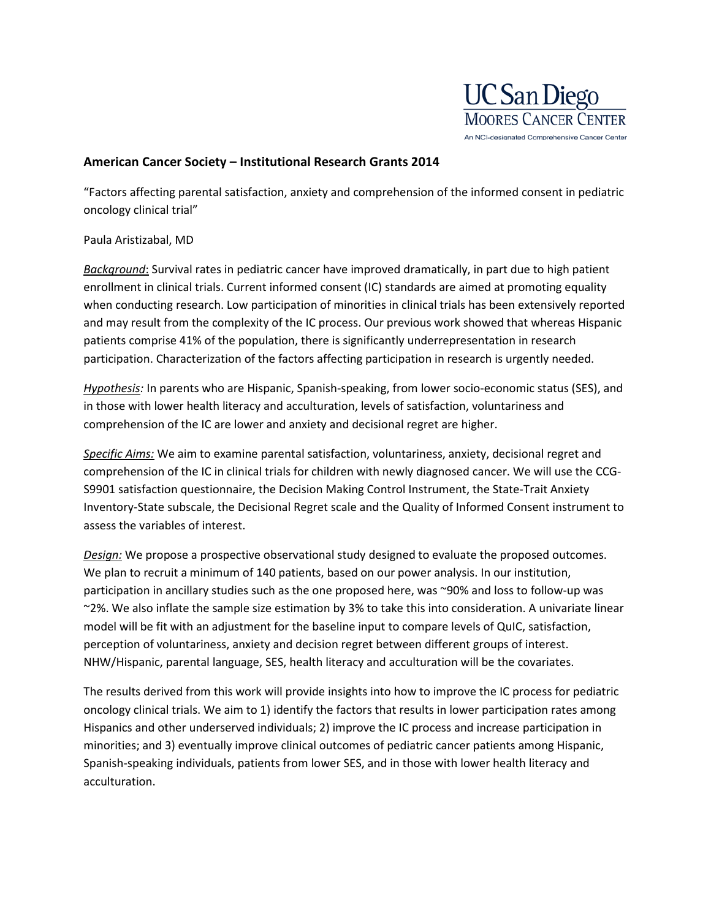

## **American Cancer Society – Institutional Research Grants 2014**

"Factors affecting parental satisfaction, anxiety and comprehension of the informed consent in pediatric oncology clinical trial"

## Paula Aristizabal, MD

*Background*: Survival rates in pediatric cancer have improved dramatically, in part due to high patient enrollment in clinical trials. Current informed consent (IC) standards are aimed at promoting equality when conducting research. Low participation of minorities in clinical trials has been extensively reported and may result from the complexity of the IC process. Our previous work showed that whereas Hispanic patients comprise 41% of the population, there is significantly underrepresentation in research participation. Characterization of the factors affecting participation in research is urgently needed.

*Hypothesis:* In parents who are Hispanic, Spanish-speaking, from lower socio-economic status (SES), and in those with lower health literacy and acculturation, levels of satisfaction, voluntariness and comprehension of the IC are lower and anxiety and decisional regret are higher.

*Specific Aims:* We aim to examine parental satisfaction, voluntariness, anxiety, decisional regret and comprehension of the IC in clinical trials for children with newly diagnosed cancer. We will use the CCG-S9901 satisfaction questionnaire, the Decision Making Control Instrument, the State-Trait Anxiety Inventory-State subscale, the Decisional Regret scale and the Quality of Informed Consent instrument to assess the variables of interest.

*Design:* We propose a prospective observational study designed to evaluate the proposed outcomes. We plan to recruit a minimum of 140 patients, based on our power analysis. In our institution, participation in ancillary studies such as the one proposed here, was ~90% and loss to follow-up was ~2%. We also inflate the sample size estimation by 3% to take this into consideration. A univariate linear model will be fit with an adjustment for the baseline input to compare levels of QuIC, satisfaction, perception of voluntariness, anxiety and decision regret between different groups of interest. NHW/Hispanic, parental language, SES, health literacy and acculturation will be the covariates.

The results derived from this work will provide insights into how to improve the IC process for pediatric oncology clinical trials. We aim to 1) identify the factors that results in lower participation rates among Hispanics and other underserved individuals; 2) improve the IC process and increase participation in minorities; and 3) eventually improve clinical outcomes of pediatric cancer patients among Hispanic, Spanish-speaking individuals, patients from lower SES, and in those with lower health literacy and acculturation.